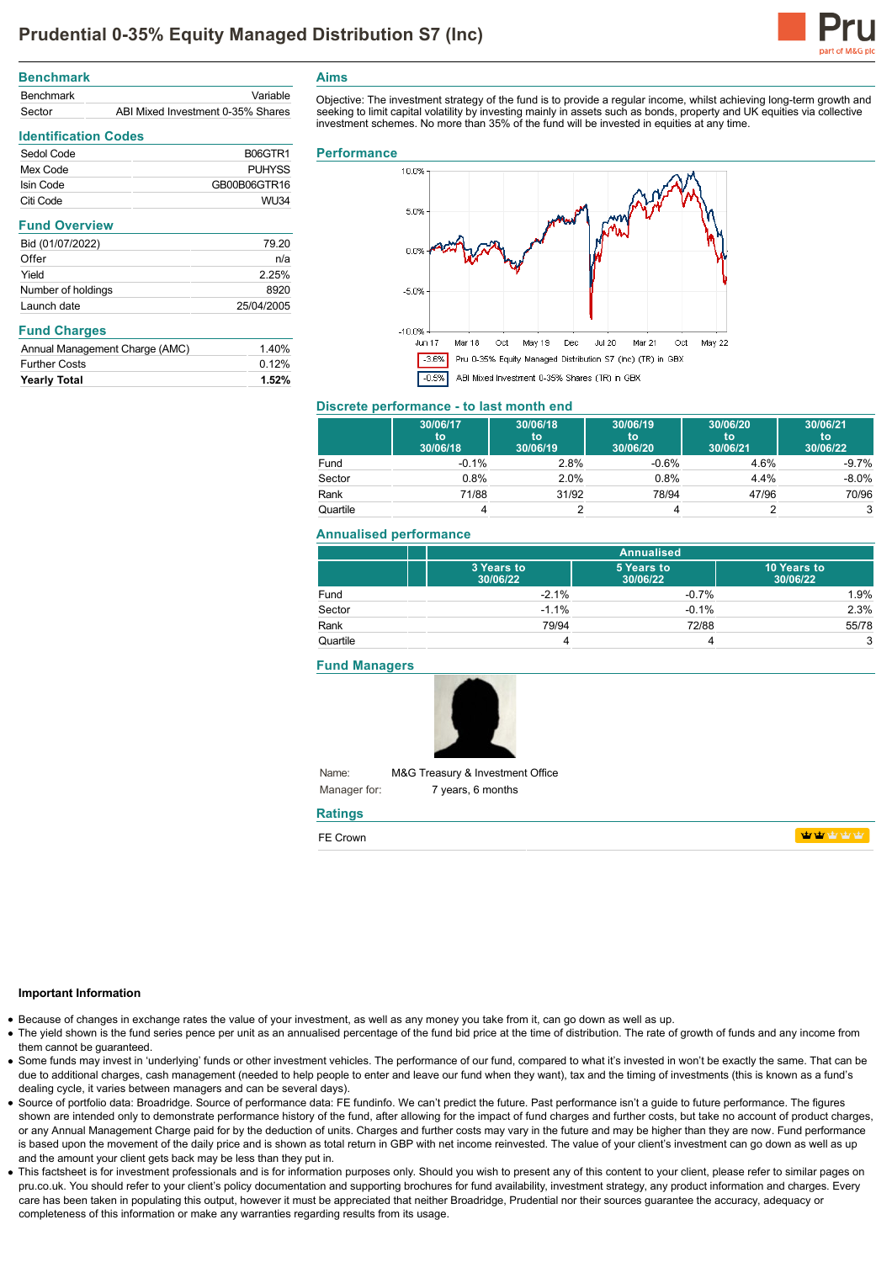

| <b>Benchmark</b> |                                   |
|------------------|-----------------------------------|
| Benchmark        | Variable                          |
| Sector           | ABI Mixed Investment 0-35% Shares |

Sedol Code B06GTR1 Mex Code **PUHYSS** Isin Code GB00B06GTR16 Citi Code WU34

Bid (01/07/2022) 79.20 Offer natural contracts of the contracts of the contracts of the contracts of the contracts of the contracts of the contracts of the contracts of the contracts of the contracts of the contracts of the contracts of the cont Yield 2.25% Number of holdings 8920 Launch date 25/04/2005

Annual Management Charge (AMC) 1.40% Further Costs 0.12% **Yearly Total 1.52%**

**Identification Codes**

**Fund Overview**

**Fund Charges**

## **Aims**

Objective: The investment strategy of the fund is to provide a regular income, whilst achieving long-term growth and seeking to limit capital volatility by investing mainly in assets such as bonds, property and UK equities via collective investment schemes. No more than 35% of the fund will be invested in equities at any time.

#### **Performance**



#### **Discrete performance - to last month end**

|          | 30/06/17<br>to<br>30/06/18 | 30/06/18<br>to<br>30/06/19 | 30/06/19<br>to<br>30/06/20 | 30/06/20<br>to<br>30/06/21 | 30/06/21<br>to<br>30/06/22 |
|----------|----------------------------|----------------------------|----------------------------|----------------------------|----------------------------|
| Fund     | $-0.1%$                    | 2.8%                       | $-0.6%$                    | 4.6%                       | $-9.7%$                    |
| Sector   | 0.8%                       | 2.0%                       | 0.8%                       | 4.4%                       | $-8.0\%$                   |
| Rank     | 71/88                      | 31/92                      | 78/94                      | 47/96                      | 70/96                      |
| Quartile |                            |                            |                            |                            |                            |

### **Annualised performance**

|          | <b>Annualised</b>      |                        |                         |
|----------|------------------------|------------------------|-------------------------|
|          | 3 Years to<br>30/06/22 | 5 Years to<br>30/06/22 | 10 Years to<br>30/06/22 |
| Fund     | $-2.1%$                | $-0.7%$                | 1.9%                    |
| Sector   | $-1.1%$                | $-0.1%$                | 2.3%                    |
| Rank     | 79/94                  | 72/88                  | 55/78                   |
| Quartile |                        |                        | 3                       |

**Fund Managers**



Name: Manager for: M&G Treasury & Investment Office 7 years, 6 months

# **Ratings**

| $- -$<br>זומרז |  |
|----------------|--|
|                |  |

#### **Important Information**

- Because of changes in exchange rates the value of your investment, as well as any money you take from it, can go down as well as up.
- The yield shown is the fund series pence per unit as an annualised percentage of the fund bid price at the time of distribution. The rate of growth of funds and any income from them cannot be guaranteed.
- Some funds may invest in 'underlying' funds or other investment vehicles. The performance of our fund, compared to what it's invested in won't be exactly the same. That can be due to additional charges, cash management (needed to help people to enter and leave our fund when they want), tax and the timing of investments (this is known as a fund's dealing cycle, it varies between managers and can be several days).
- Source of portfolio data: Broadridge. Source of performance data: FE fundinfo. We can't predict the future. Past performance isn't a guide to future performance. The figures shown are intended only to demonstrate performance history of the fund, after allowing for the impact of fund charges and further costs, but take no account of product charges, or any Annual Management Charge paid for by the deduction of units. Charges and further costs may vary in the future and may be higher than they are now. Fund performance is based upon the movement of the daily price and is shown as total return in GBP with net income reinvested. The value of your client's investment can go down as well as up and the amount your client gets back may be less than they put in.
- This factsheet is for investment professionals and is for information purposes only. Should you wish to present any of this content to your client, please refer to similar pages on pru.co.uk. You should refer to your client's policy documentation and supporting brochures for fund availability, investment strategy, any product information and charges. Every care has been taken in populating this output, however it must be appreciated that neither Broadridge. Prudential nor their sources guarantee the accuracy, adequacy or completeness of this information or make any warranties regarding results from its usage.